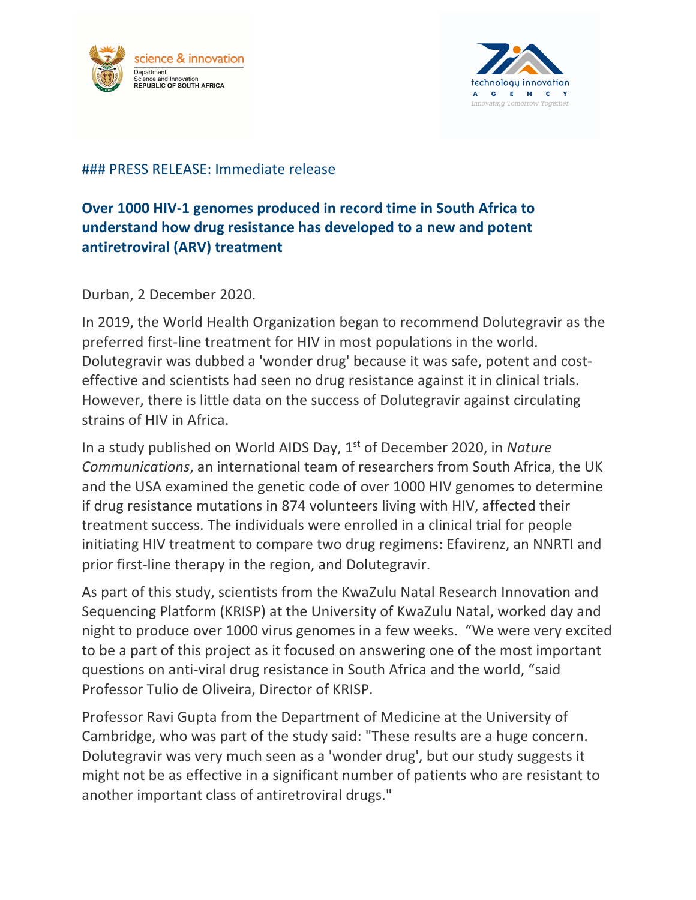



## ### PRESS RELEASE: Immediate release

## **Over 1000 HIV-1 genomes produced in record time in South Africa to understand how drug resistance has developed to a new and potent antiretroviral (ARV) treatment**

Durban, 2 December 2020.

In 2019, the World Health Organization began to recommend Dolutegravir as the preferred first-line treatment for HIV in most populations in the world. Dolutegravir was dubbed a 'wonder drug' because it was safe, potent and costeffective and scientists had seen no drug resistance against it in clinical trials. However, there is little data on the success of Dolutegravir against circulating strains of HIV in Africa.

In a study published on World AIDS Day, 1st of December 2020, in *Nature Communications*, an international team of researchers from South Africa, the UK and the USA examined the genetic code of over 1000 HIV genomes to determine if drug resistance mutations in 874 volunteers living with HIV, affected their treatment success. The individuals were enrolled in a clinical trial for people initiating HIV treatment to compare two drug regimens: Efavirenz, an NNRTI and prior first-line therapy in the region, and Dolutegravir.

As part of this study, scientists from the KwaZulu Natal Research Innovation and Sequencing Platform (KRISP) at the University of KwaZulu Natal, worked day and night to produce over 1000 virus genomes in a few weeks. "We were very excited to be a part of this project as it focused on answering one of the most important questions on anti-viral drug resistance in South Africa and the world, "said Professor Tulio de Oliveira, Director of KRISP.

Professor Ravi Gupta from the Department of Medicine at the University of Cambridge, who was part of the study said: "These results are a huge concern. Dolutegravir was very much seen as a 'wonder drug', but our study suggests it might not be as effective in a significant number of patients who are resistant to another important class of antiretroviral drugs."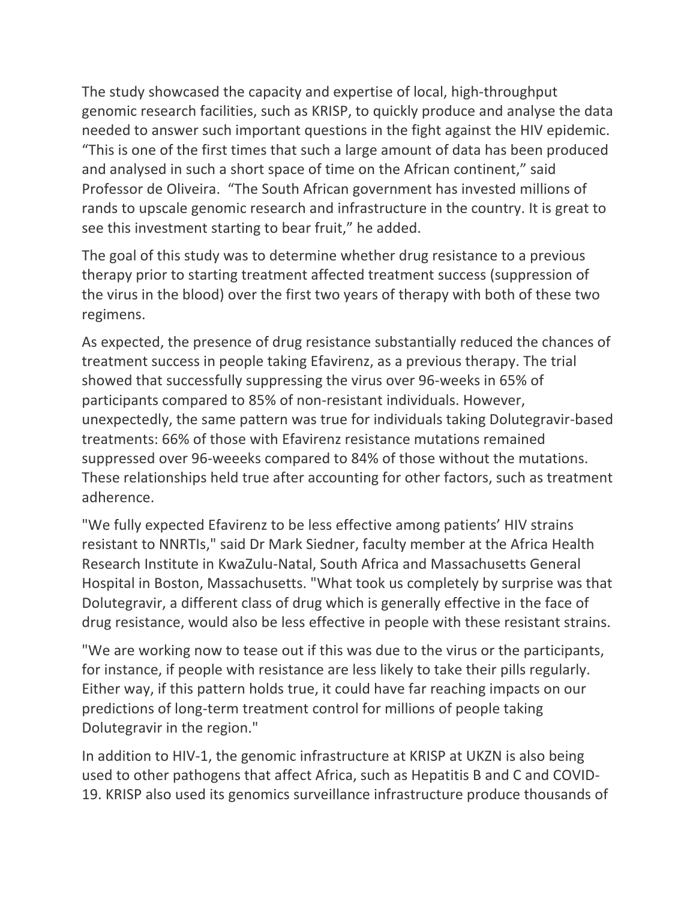The study showcased the capacity and expertise of local, high-throughput genomic research facilities, such as KRISP, to quickly produce and analyse the data needed to answer such important questions in the fight against the HIV epidemic. "This is one of the first times that such a large amount of data has been produced and analysed in such a short space of time on the African continent," said Professor de Oliveira. "The South African government has invested millions of rands to upscale genomic research and infrastructure in the country. It is great to see this investment starting to bear fruit," he added.

The goal of this study was to determine whether drug resistance to a previous therapy prior to starting treatment affected treatment success (suppression of the virus in the blood) over the first two years of therapy with both of these two regimens.

As expected, the presence of drug resistance substantially reduced the chances of treatment success in people taking Efavirenz, as a previous therapy. The trial showed that successfully suppressing the virus over 96-weeks in 65% of participants compared to 85% of non-resistant individuals. However, unexpectedly, the same pattern was true for individuals taking Dolutegravir-based treatments: 66% of those with Efavirenz resistance mutations remained suppressed over 96-weeeks compared to 84% of those without the mutations. These relationships held true after accounting for other factors, such as treatment adherence.

"We fully expected Efavirenz to be less effective among patients' HIV strains resistant to NNRTIs," said Dr Mark Siedner, faculty member at the Africa Health Research Institute in KwaZulu-Natal, South Africa and Massachusetts General Hospital in Boston, Massachusetts. "What took us completely by surprise was that Dolutegravir, a different class of drug which is generally effective in the face of drug resistance, would also be less effective in people with these resistant strains.

"We are working now to tease out if this was due to the virus or the participants, for instance, if people with resistance are less likely to take their pills regularly. Either way, if this pattern holds true, it could have far reaching impacts on our predictions of long-term treatment control for millions of people taking Dolutegravir in the region."

In addition to HIV-1, the genomic infrastructure at KRISP at UKZN is also being used to other pathogens that affect Africa, such as Hepatitis B and C and COVID-19. KRISP also used its genomics surveillance infrastructure produce thousands of